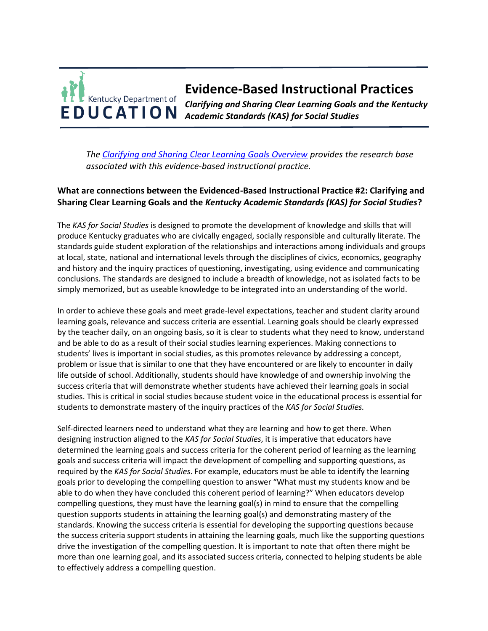### **Evidence-Based Instructional Practices** Kentucky Department of *Clarifying and Sharing Clear Learning Goals and the Kentucky*  **EDUCATION** *Academic Standards (KAS) for Social Studies*

*The [Clarifying and Sharing Clear Learning Goals Overview](https://education.ky.gov/curriculum/standards/kyacadstand/Documents/EBIP_2_Clarifying_and_Sharing_Clear_Learning_Goals.pdf) provides the research base associated with this evidence-based instructional practice.*

## **What are connections between the Evidenced-Based Instructional Practice #2: Clarifying and Sharing Clear Learning Goals and the** *Kentucky Academic Standards (KAS) for Social Studies***?**

The *KAS for Social Studies* is designed to promote the development of knowledge and skills that will produce Kentucky graduates who are civically engaged, socially responsible and culturally literate. The standards guide student exploration of the relationships and interactions among individuals and groups at local, state, national and international levels through the disciplines of civics, economics, geography and history and the inquiry practices of questioning, investigating, using evidence and communicating conclusions. The standards are designed to include a breadth of knowledge, not as isolated facts to be simply memorized, but as useable knowledge to be integrated into an understanding of the world.

In order to achieve these goals and meet grade-level expectations, teacher and student clarity around learning goals, relevance and success criteria are essential. Learning goals should be clearly expressed by the teacher daily, on an ongoing basis, so it is clear to students what they need to know, understand and be able to do as a result of their social studies learning experiences. Making connections to students' lives is important in social studies, as this promotes relevance by addressing a concept, problem or issue that is similar to one that they have encountered or are likely to encounter in daily life outside of school. Additionally, students should have knowledge of and ownership involving the success criteria that will demonstrate whether students have achieved their learning goals in social studies. This is critical in social studies because student voice in the educational process is essential for students to demonstrate mastery of the inquiry practices of the *KAS for Social Studies.*

Self-directed learners need to understand what they are learning and how to get there. When designing instruction aligned to the *KAS for Social Studies*, it is imperative that educators have determined the learning goals and success criteria for the coherent period of learning as the learning goals and success criteria will impact the development of compelling and supporting questions, as required by the *KAS for Social Studies*. For example, educators must be able to identify the learning goals prior to developing the compelling question to answer "What must my students know and be able to do when they have concluded this coherent period of learning?" When educators develop compelling questions, they must have the learning goal(s) in mind to ensure that the compelling question supports students in attaining the learning goal(s) and demonstrating mastery of the standards. Knowing the success criteria is essential for developing the supporting questions because the success criteria support students in attaining the learning goals, much like the supporting questions drive the investigation of the compelling question. It is important to note that often there might be more than one learning goal, and its associated success criteria, connected to helping students be able to effectively address a compelling question.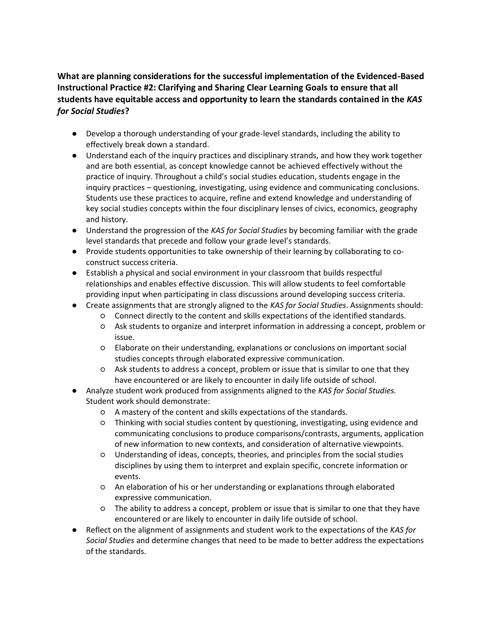# **What are planning considerations for the successful implementation of the Evidenced-Based Instructional Practice #2: Clarifying and Sharing Clear Learning Goals to ensure that all students have equitable access and opportunity to learn the standards contained in the** *KAS for Social Studies***?**

- Develop a thorough understanding of your grade-level standards, including the ability to effectively break down a standard.
- Understand each of the inquiry practices and disciplinary strands, and how they work together and are both essential, as concept knowledge cannot be achieved effectively without the practice of inquiry. Throughout a child's social studies education, students engage in the inquiry practices – questioning, investigating, using evidence and communicating conclusions. Students use these practices to acquire, refine and extend knowledge and understanding of key social studies concepts within the four disciplinary lenses of civics, economics, geography and history.
- Understand the progression of the *KAS for Social Studies* by becoming familiar with the grade level standards that precede and follow your grade level's standards.
- Provide students opportunities to take ownership of their learning by collaborating to coconstruct success criteria.
- Establish a physical and social environment in your classroom that builds respectful relationships and enables effective discussion. This will allow students to feel comfortable providing input when participating in class discussions around developing success criteria.
- Create assignments that are strongly aligned to the *KAS for Social Studies*. Assignments should:
	- Connect directly to the content and skills expectations of the identified standards.
	- Ask students to organize and interpret information in addressing a concept, problem or issue.
	- Elaborate on their understanding, explanations or conclusions on important social studies concepts through elaborated expressive communication.
	- Ask students to address a concept, problem or issue that is similar to one that they have encountered or are likely to encounter in daily life outside of school.
- Analyze student work produced from assignments aligned to the *KAS for Social Studies.*  Student work should demonstrate:
	- A mastery of the content and skills expectations of the standards.
	- Thinking with social studies content by questioning, investigating, using evidence and communicating conclusions to produce comparisons/contrasts, arguments, application of new information to new contexts, and consideration of alternative viewpoints.
	- Understanding of ideas, concepts, theories, and principles from the social studies disciplines by using them to interpret and explain specific, concrete information or events.
	- An elaboration of his or her understanding or explanations through elaborated expressive communication.
	- The ability to address a concept, problem or issue that is similar to one that they have encountered or are likely to encounter in daily life outside of school.
- Reflect on the alignment of assignments and student work to the expectations of the *KAS for Social Studies* and determine changes that need to be made to better address the expectations of the standards.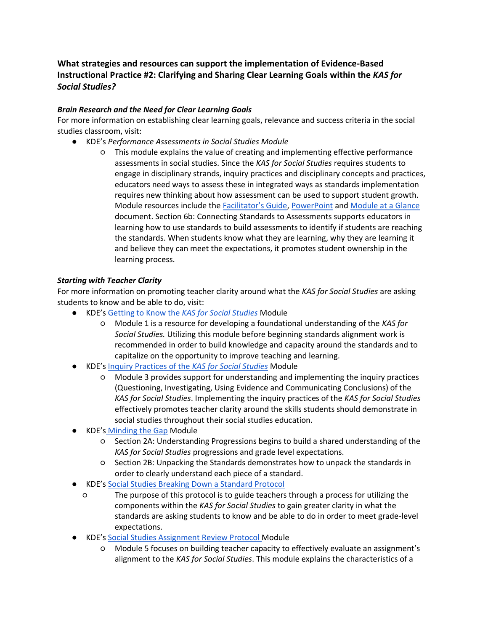## **What strategies and resources can support the implementation of Evidence-Based Instructional Practice #2: Clarifying and Sharing Clear Learning Goals within the** *KAS for Social Studies?*

### *Brain Research and the Need for Clear Learning Goals*

For more information on establishing clear learning goals, relevance and success criteria in the social studies classroom, visit:

- KDE's *Performance Assessments in Social Studies Module* 
	- This module explains the value of creating and implementing effective performance assessments in social studies. Since the *KAS for Social Studies* requires students to engage in disciplinary strands, inquiry practices and disciplinary concepts and practices, educators need ways to assess these in integrated ways as standards implementation requires new thinking about how assessment can be used to support student growth. Module resources include the [Facilitator's Guide](https://education.ky.gov/curriculum/standards/kyacadstand/Documents/Performance_Asessments_in_Social_Studies_Facilitator_Guide.pdf)[, PowerPoint](https://education.ky.gov/curriculum/standards/kyacadstand/Documents/Performance_Assessments_in_Social_Studies_Module.pptx) an[d Module at a Glance](https://education.ky.gov/curriculum/standards/kyacadstand/Documents/Performance_Assessment_Module_at_a_Glance.pdf) document. Section 6b: Connecting Standards to Assessments supports educators in learning how to use standards to build assessments to identify if students are reaching the standards. When students know what they are learning, why they are learning it and believe they can meet the expectations, it promotes student ownership in the learning process.

### *Starting with Teacher Clarity*

For more information on promoting teacher clarity around what the *KAS for Social Studies* are asking students to know and be able to do, visit:

- KDE's [Getting to Know the](https://education.ky.gov/curriculum/standards/kyacadstand/Documents/Getting_to_Know_the_KAS_for_Social_Studies.pptx) *[KAS for Social Studies](https://education.ky.gov/curriculum/standards/kyacadstand/Documents/Getting_to_Know_the_KAS_for_Social_Studies.pptx)* Module
	- Module 1 is a resource for developing a foundational understanding of the *KAS for Social Studies.* Utilizing this module before beginning standards alignment work is recommended in order to build knowledge and capacity around the standards and to capitalize on the opportunity to improve teaching and learning.
- KDE's [Inquiry Practices of the](https://education.ky.gov/curriculum/standards/kyacadstand/Documents/Inquiry_Practices_of_KAS_for_Social_Studies.pptx) *[KAS for Social Studies](https://education.ky.gov/curriculum/standards/kyacadstand/Documents/Inquiry_Practices_of_KAS_for_Social_Studies.pptx)* Module
	- Module 3 provides support for understanding and implementing the inquiry practices (Questioning, Investigating, Using Evidence and Communicating Conclusions) of the *KAS for Social Studies*. Implementing the inquiry practices of the *KAS for Social Studies*  effectively promotes teacher clarity around the skills students should demonstrate in social studies throughout their social studies education.
- KDE's [Minding the Gap](https://education.ky.gov/curriculum/standards/kyacadstand/Documents/Module_2_Minding_the_Gap.pptx) Module
	- Section 2A: Understanding Progressions begins to build a shared understanding of the *KAS for Social Studies* progressions and grade level expectations.
	- Section 2B: Unpacking the Standards demonstrates how to unpack the standards in order to clearly understand each piece of a standard.
- KDE's [Social Studies Breaking Down a Standard Protocol](https://education.ky.gov/curriculum/standards/kyacadstand/Documents/Tool_to_Unpack_Standards_and_Identify_Gaps_BDS.xlsx)
	- The purpose of this protocol is to guide teachers through a process for utilizing the components within the *KAS for Social Studies* to gain greater clarity in what the standards are asking students to know and be able to do in order to meet grade-level expectations.
- KDE's [Social Studies Assignment Review Protocol M](https://education.ky.gov/curriculum/standards/kyacadstand/Documents/Social_Studies_Assignment_Review_Protocol_Module.pptx)odule
	- Module 5 focuses on building teacher capacity to effectively evaluate an assignment's alignment to the *KAS for Social Studies*. This module explains the characteristics of a